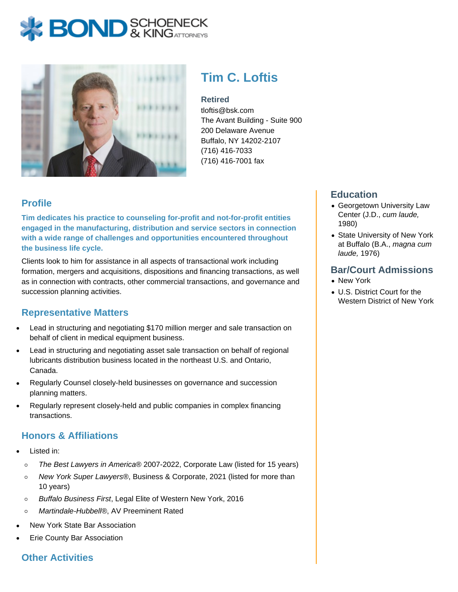# **BOND** & KINGATTORNECK



# **Tim C. Loftis**

#### **Retired**

tloftis@bsk.com The Avant Building - Suite 900 200 Delaware Avenue Buffalo, NY 14202-2107 (716) 416-7033 (716) 416-7001 fax

## **Profile**

**Tim dedicates his practice to counseling for-profit and not-for-profit entities engaged in the manufacturing, distribution and service sectors in connection with a wide range of challenges and opportunities encountered throughout the business life cycle.**

Clients look to him for assistance in all aspects of transactional work including formation, mergers and acquisitions, dispositions and financing transactions, as well as in connection with contracts, other commercial transactions, and governance and succession planning activities.

## **Representative Matters**

- Lead in structuring and negotiating \$170 million merger and sale transaction on behalf of client in medical equipment business.
- Lead in structuring and negotiating asset sale transaction on behalf of regional lubricants distribution business located in the northeast U.S. and Ontario, Canada.
- Regularly Counsel closely-held businesses on governance and succession planning matters.
- Regularly represent closely-held and public companies in complex financing transactions.

## **Honors & Affiliations**

- Listed in:
	- The Best Lawyers in America® 2007-2022, Corporate Law (listed for 15 years)  $\circ$
	- New York Super Lawyers®, Business & Corporate, 2021 (listed for more than  $\circ$ 10 years)
	- Buffalo Business First, Legal Elite of Western New York, 2016  $\circ$
	- Martindale-Hubbell®, AV Preeminent Rated  $\circ$
- New York State Bar Association
- Erie County Bar Association

#### **Other Activities**

#### **Education**

- Georgetown University Law Center (J.D., cum laude, 1980)
- State University of New York at Buffalo (B.A., magna cum laude, 1976)

#### **Bar/Court Admissions**

- New York
- U.S. District Court for the Western District of New York